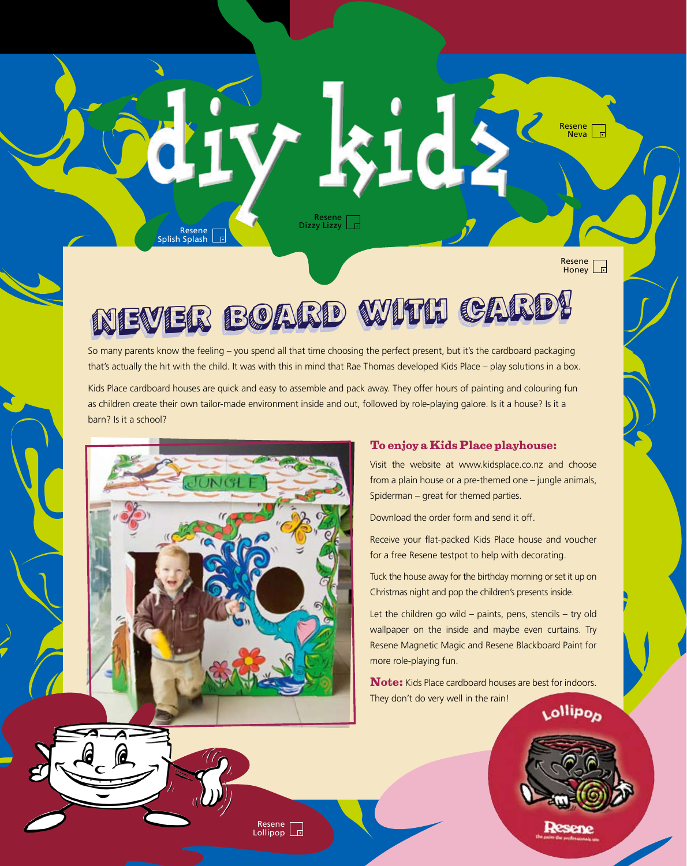Resene Dizzy Lizzy

Resene Honey

Resene  $\frac{1}{\sqrt{2}}$ Neva $\frac{1}{\sqrt{2}}$ 

# Never board Never board with card! with card!

So many parents know the feeling – you spend all that time choosing the perfect present, but it's the cardboard packaging that's actually the hit with the child. It was with this in mind that Rae Thomas developed Kids Place – play solutions in a box.

Kids Place cardboard houses are quick and easy to assemble and pack away. They offer hours of painting and colouring fun as children create their own tailor-made environment inside and out, followed by role-playing galore. Is it a house? Is it a barn? Is it a school?



Resene Splish Splash

 $\mathbb{R}$ 

### **To enjoy a Kids Place playhouse:**

Visit the website at www.kidsplace.co.nz and choose from a plain house or a pre-themed one – jungle animals, Spiderman – great for themed parties.

Download the order form and send it off.

Receive your flat-packed Kids Place house and voucher for a free Resene testpot to help with decorating.

Tuck the house away for the birthday morning or set it up on Christmas night and pop the children's presents inside.

Let the children go wild – paints, pens, stencils – try old wallpaper on the inside and maybe even curtains. Try Resene Magnetic Magic and Resene Blackboard Paint for more role-playing fun.

**Note:** Kids Place cardboard houses are best for indoors. They don't do very well in the rain! Lollipop



Resene Lollipop